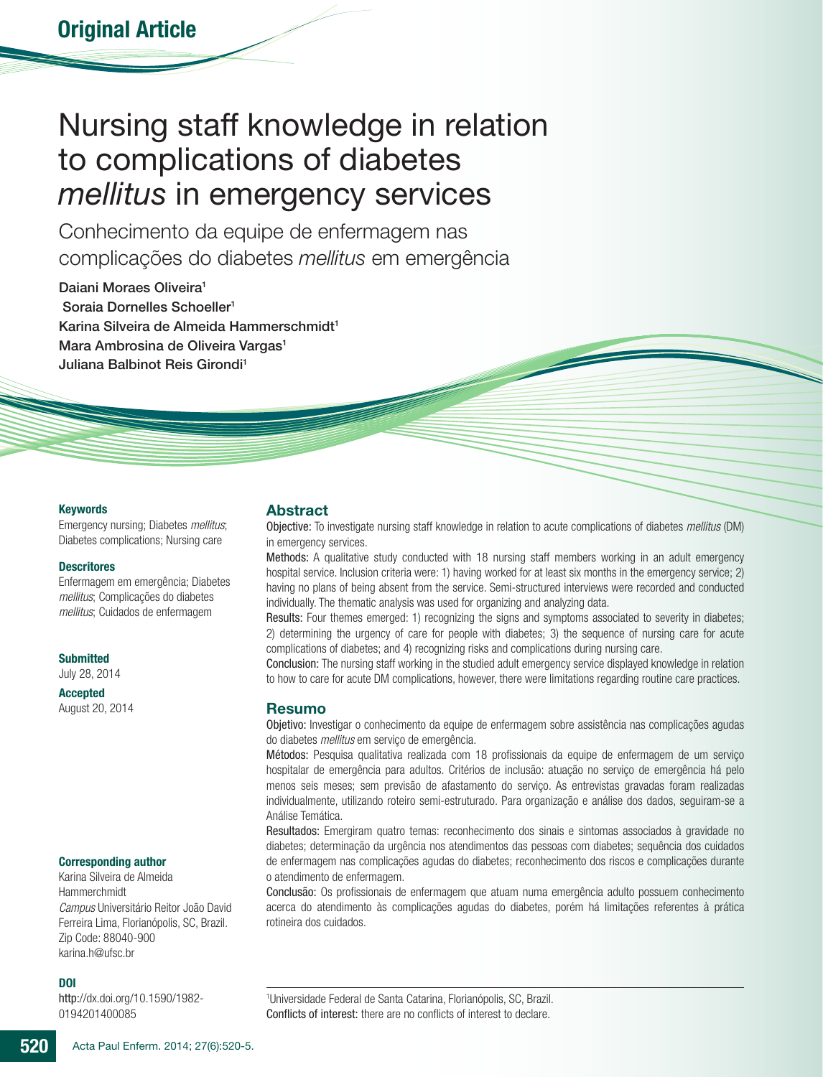# Nursing staff knowledge in relation to complications of diabetes *mellitus* in emergency services

Conhecimento da equipe de enfermagem nas complicações do diabetes *mellitus* em emergência

Daiani Moraes Oliveira<sup>1</sup> Soraia Dornelles Schoeller1 Karina Silveira de Almeida Hammerschmidt<sup>1</sup> Mara Ambrosina de Oliveira Vargas<sup>1</sup> Juliana Balbinot Reis Girondi1

#### Keywords

Emergency nursing; Diabetes *mellitus*; Diabetes complications; Nursing care

#### **Descritores**

Enfermagem em emergência; Diabetes *mellitus*; Complicações do diabetes *mellitus*; Cuidados de enfermagem

#### **Submitted**

July 28, 2014

Accepted August 20, 2014

### Corresponding author

Karina Silveira de Almeida Hammerchmidt *Campus* Universitário Reitor João David Ferreira Lima, Florianópolis, SC, Brazil. Zip Code: 88040-900 karina.h@ufsc.br

DOI

http://dx.doi.org/10.1590/1982- 0194201400085

### Abstract

Objective: To investigate nursing staff knowledge in relation to acute complications of diabetes *mellitus* (DM) in emergency services.

Methods: A qualitative study conducted with 18 nursing staff members working in an adult emergency hospital service. Inclusion criteria were: 1) having worked for at least six months in the emergency service; 2) having no plans of being absent from the service. Semi-structured interviews were recorded and conducted individually. The thematic analysis was used for organizing and analyzing data.

Results: Four themes emerged: 1) recognizing the signs and symptoms associated to severity in diabetes; 2) determining the urgency of care for people with diabetes; 3) the sequence of nursing care for acute complications of diabetes; and 4) recognizing risks and complications during nursing care.

Conclusion: The nursing staff working in the studied adult emergency service displayed knowledge in relation to how to care for acute DM complications, however, there were limitations regarding routine care practices.

### Resumo

Objetivo: Investigar o conhecimento da equipe de enfermagem sobre assistência nas complicações agudas do diabetes *mellitus* em serviço de emergência.

Métodos: Pesquisa qualitativa realizada com 18 profissionais da equipe de enfermagem de um serviço hospitalar de emergência para adultos. Critérios de inclusão: atuação no serviço de emergência há pelo menos seis meses; sem previsão de afastamento do serviço. As entrevistas gravadas foram realizadas individualmente, utilizando roteiro semi-estruturado. Para organização e análise dos dados, seguiram-se a Análise Temática.

Resultados: Emergiram quatro temas: reconhecimento dos sinais e sintomas associados à gravidade no diabetes; determinação da urgência nos atendimentos das pessoas com diabetes; sequência dos cuidados de enfermagem nas complicações agudas do diabetes; reconhecimento dos riscos e complicações durante o atendimento de enfermagem.

Conclusão: Os profissionais de enfermagem que atuam numa emergência adulto possuem conhecimento acerca do atendimento às complicações agudas do diabetes, porém há limitações referentes à prática rotineira dos cuidados.

1 Universidade Federal de Santa Catarina, Florianópolis, SC, Brazil. Conflicts of interest: there are no conflicts of interest to declare.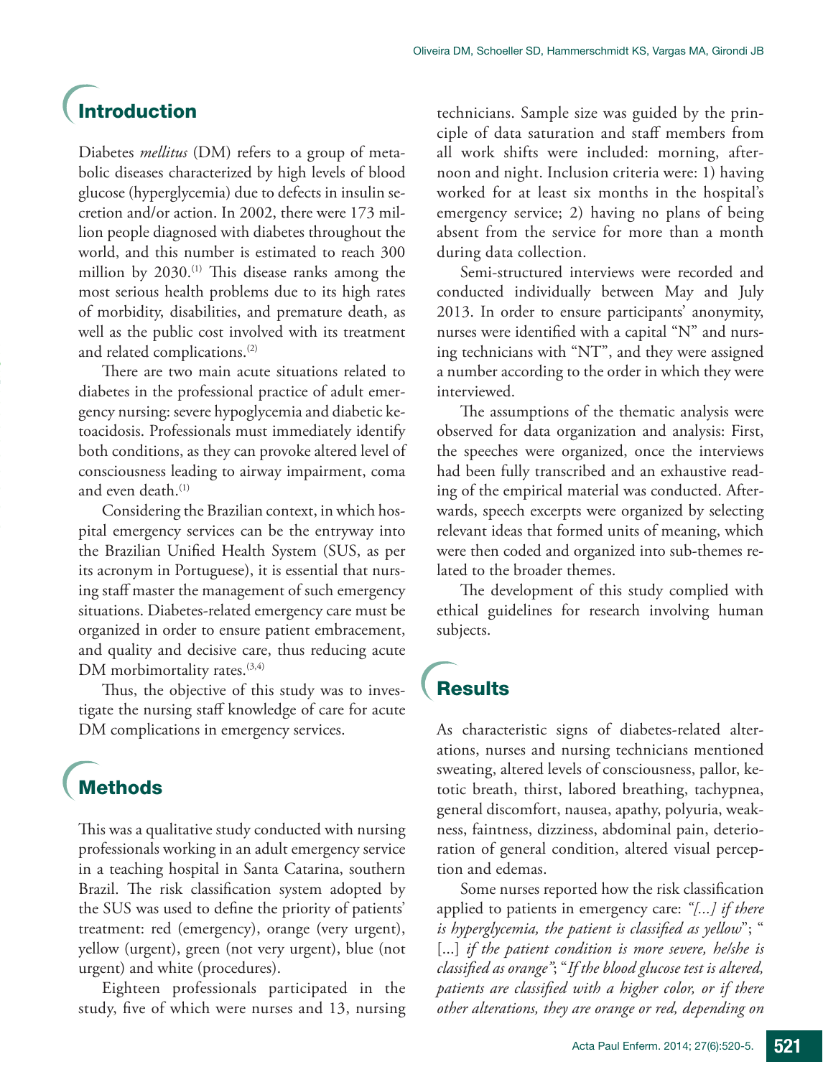## Introduction

Diabetes *mellitus* (DM) refers to a group of metabolic diseases characterized by high levels of blood glucose (hyperglycemia) due to defects in insulin secretion and/or action. In 2002, there were 173 million people diagnosed with diabetes throughout the world, and this number is estimated to reach 300 million by 2030.<sup>(1)</sup> This disease ranks among the most serious health problems due to its high rates of morbidity, disabilities, and premature death, as well as the public cost involved with its treatment and related complications.<sup>(2)</sup>

There are two main acute situations related to diabetes in the professional practice of adult emergency nursing: severe hypoglycemia and diabetic ketoacidosis. Professionals must immediately identify both conditions, as they can provoke altered level of consciousness leading to airway impairment, coma and even death. $(1)$ 

Considering the Brazilian context, in which hospital emergency services can be the entryway into the Brazilian Unified Health System (SUS, as per its acronym in Portuguese), it is essential that nursing staff master the management of such emergency situations. Diabetes-related emergency care must be organized in order to ensure patient embracement, and quality and decisive care, thus reducing acute DM morbimortality rates.<sup>(3,4)</sup>

Thus, the objective of this study was to investigate the nursing staff knowledge of care for acute DM complications in emergency services.

## Methods

This was a qualitative study conducted with nursing professionals working in an adult emergency service in a teaching hospital in Santa Catarina, southern Brazil. The risk classification system adopted by the SUS was used to define the priority of patients' treatment: red (emergency), orange (very urgent), yellow (urgent), green (not very urgent), blue (not urgent) and white (procedures).

Eighteen professionals participated in the study, five of which were nurses and 13, nursing technicians. Sample size was guided by the principle of data saturation and staff members from all work shifts were included: morning, afternoon and night. Inclusion criteria were: 1) having worked for at least six months in the hospital's emergency service; 2) having no plans of being absent from the service for more than a month during data collection.

Semi-structured interviews were recorded and conducted individually between May and July 2013. In order to ensure participants' anonymity, nurses were identified with a capital "N" and nursing technicians with "NT", and they were assigned a number according to the order in which they were interviewed.

The assumptions of the thematic analysis were observed for data organization and analysis: First, the speeches were organized, once the interviews had been fully transcribed and an exhaustive reading of the empirical material was conducted. Afterwards, speech excerpts were organized by selecting relevant ideas that formed units of meaning, which were then coded and organized into sub-themes related to the broader themes.

The development of this study complied with ethical guidelines for research involving human subjects.

### **Results**

As characteristic signs of diabetes-related alterations, nurses and nursing technicians mentioned sweating, altered levels of consciousness, pallor, ketotic breath, thirst, labored breathing, tachypnea, general discomfort, nausea, apathy, polyuria, weakness, faintness, dizziness, abdominal pain, deterioration of general condition, altered visual perception and edemas.

Some nurses reported how the risk classification applied to patients in emergency care: *"[...] if there is hyperglycemia, the patient is classified as yellow*"; " [...] *if the patient condition is more severe, helshe is classified as orange"*; "*If the blood glucose test is altered, patients are classified with a higher color, or if there other alterations, they are orange or red, depending on*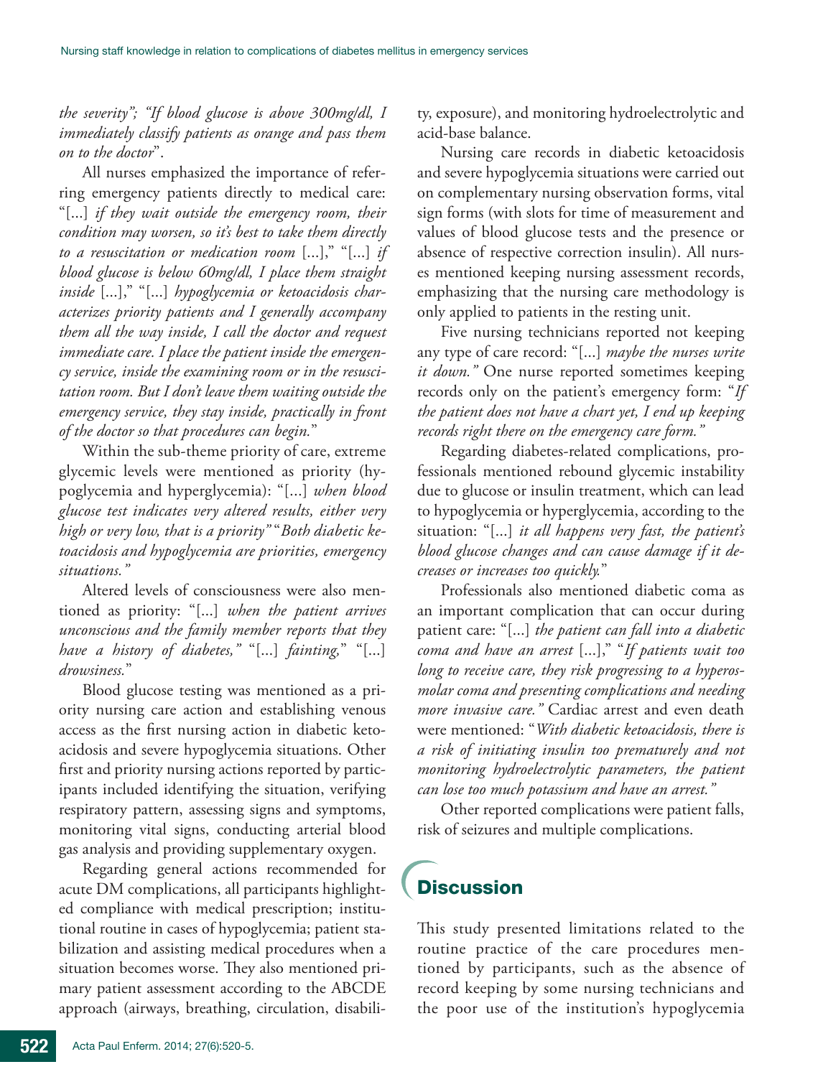*the severity"; "If blood glucose is above 300mg/dl, I immediately classify patients as orange and pass them on to the doctor*".

All nurses emphasized the importance of referring emergency patients directly to medical care: "[...] *if they wait outside the emergency room, their condition may worsen, so it's best to take them directly to a resuscitation or medication room* [...]," "[...] *if blood glucose is below 60mg/dl, I place them straight inside* [...]," "[...] *hypoglycemia or ketoacidosis characterizes priority patients and I generally accompany them all the way inside, I call the doctor and request immediate care. I place the patient inside the emergency service, inside the examining room or in the resuscitation room. But I don't leave them waiting outside the emergency service, they stay inside, practically in front of the doctor so that procedures can begin.*"

Within the sub-theme priority of care, extreme glycemic levels were mentioned as priority (hypoglycemia and hyperglycemia): "[...] *when blood glucose test indicates very altered results, either very high or very low, that is a priority"* "*Both diabetic ketoacidosis and hypoglycemia are priorities, emergency situations."*

Altered levels of consciousness were also mentioned as priority: "[...] *when the patient arrives unconscious and the family member reports that they have a history of diabetes,"* "[...] *fainting,*" "[...] *drowsiness.*"

Blood glucose testing was mentioned as a priority nursing care action and establishing venous access as the first nursing action in diabetic ketoacidosis and severe hypoglycemia situations. Other first and priority nursing actions reported by participants included identifying the situation, verifying respiratory pattern, assessing signs and symptoms, monitoring vital signs, conducting arterial blood gas analysis and providing supplementary oxygen.

Regarding general actions recommended for acute DM complications, all participants highlighted compliance with medical prescription; institutional routine in cases of hypoglycemia; patient stabilization and assisting medical procedures when a situation becomes worse. They also mentioned primary patient assessment according to the ABCDE approach (airways, breathing, circulation, disability, exposure), and monitoring hydroelectrolytic and acid-base balance.

Nursing care records in diabetic ketoacidosis and severe hypoglycemia situations were carried out on complementary nursing observation forms, vital sign forms (with slots for time of measurement and values of blood glucose tests and the presence or absence of respective correction insulin). All nurses mentioned keeping nursing assessment records, emphasizing that the nursing care methodology is only applied to patients in the resting unit.

Five nursing technicians reported not keeping any type of care record: "[...] *maybe the nurses write it down."* One nurse reported sometimes keeping records only on the patient's emergency form: "*If the patient does not have a chart yet, I end up keeping records right there on the emergency care form."*

Regarding diabetes-related complications, professionals mentioned rebound glycemic instability due to glucose or insulin treatment, which can lead to hypoglycemia or hyperglycemia, according to the situation: "[...] *it all happens very fast, the patient's blood glucose changes and can cause damage if it decreases or increases too quickly.*"

Professionals also mentioned diabetic coma as an important complication that can occur during patient care: "[...] *the patient can fall into a diabetic coma and have an arrest* [...]," "*If patients wait too long to receive care, they risk progressing to a hyperosmolar coma and presenting complications and needing more invasive care."* Cardiac arrest and even death were mentioned: "*With diabetic ketoacidosis, there is a risk of initiating insulin too prematurely and not monitoring hydroelectrolytic parameters, the patient can lose too much potassium and have an arrest."*

Other reported complications were patient falls, risk of seizures and multiple complications.

### **Discussion**

This study presented limitations related to the routine practice of the care procedures mentioned by participants, such as the absence of record keeping by some nursing technicians and the poor use of the institution's hypoglycemia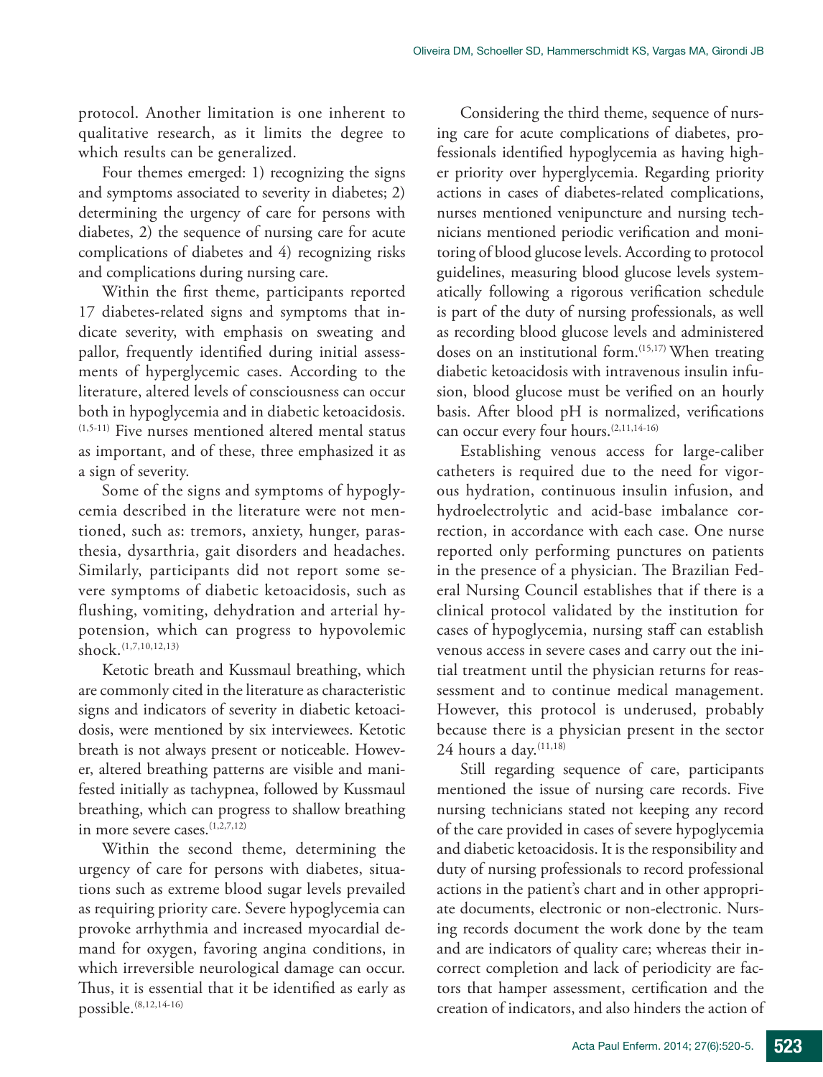protocol. Another limitation is one inherent to qualitative research, as it limits the degree to which results can be generalized.

Four themes emerged: 1) recognizing the signs and symptoms associated to severity in diabetes; 2) determining the urgency of care for persons with diabetes, 2) the sequence of nursing care for acute complications of diabetes and 4) recognizing risks and complications during nursing care.

Within the first theme, participants reported 17 diabetes-related signs and symptoms that indicate severity, with emphasis on sweating and pallor, frequently identified during initial assessments of hyperglycemic cases. According to the literature, altered levels of consciousness can occur both in hypoglycemia and in diabetic ketoacidosis. (1,5-11) Five nurses mentioned altered mental status as important, and of these, three emphasized it as a sign of severity.

Some of the signs and symptoms of hypoglycemia described in the literature were not mentioned, such as: tremors, anxiety, hunger, parasthesia, dysarthria, gait disorders and headaches. Similarly, participants did not report some severe symptoms of diabetic ketoacidosis, such as flushing, vomiting, dehydration and arterial hypotension, which can progress to hypovolemic  $shock.$ <sup>(1,7,10,12,13)</sup>

Ketotic breath and Kussmaul breathing, which are commonly cited in the literature as characteristic signs and indicators of severity in diabetic ketoacidosis, were mentioned by six interviewees. Ketotic breath is not always present or noticeable. However, altered breathing patterns are visible and manifested initially as tachypnea, followed by Kussmaul breathing, which can progress to shallow breathing in more severe cases. $(1,2,7,12)$ 

Within the second theme, determining the urgency of care for persons with diabetes, situations such as extreme blood sugar levels prevailed as requiring priority care. Severe hypoglycemia can provoke arrhythmia and increased myocardial demand for oxygen, favoring angina conditions, in which irreversible neurological damage can occur. Thus, it is essential that it be identified as early as possible.(8,12,14-16)

Considering the third theme, sequence of nursing care for acute complications of diabetes, professionals identified hypoglycemia as having higher priority over hyperglycemia. Regarding priority actions in cases of diabetes-related complications, nurses mentioned venipuncture and nursing technicians mentioned periodic verification and monitoring of blood glucose levels. According to protocol guidelines, measuring blood glucose levels systematically following a rigorous verification schedule is part of the duty of nursing professionals, as well as recording blood glucose levels and administered doses on an institutional form.(15,17) When treating diabetic ketoacidosis with intravenous insulin infusion, blood glucose must be verified on an hourly basis. After blood pH is normalized, verifications can occur every four hours.(2,11,14-16)

Establishing venous access for large-caliber catheters is required due to the need for vigorous hydration, continuous insulin infusion, and hydroelectrolytic and acid-base imbalance correction, in accordance with each case. One nurse reported only performing punctures on patients in the presence of a physician. The Brazilian Federal Nursing Council establishes that if there is a clinical protocol validated by the institution for cases of hypoglycemia, nursing staff can establish venous access in severe cases and carry out the initial treatment until the physician returns for reassessment and to continue medical management. However, this protocol is underused, probably because there is a physician present in the sector 24 hours a day.  $(11,18)$ 

Still regarding sequence of care, participants mentioned the issue of nursing care records. Five nursing technicians stated not keeping any record of the care provided in cases of severe hypoglycemia and diabetic ketoacidosis. It is the responsibility and duty of nursing professionals to record professional actions in the patient's chart and in other appropriate documents, electronic or non-electronic. Nursing records document the work done by the team and are indicators of quality care; whereas their incorrect completion and lack of periodicity are factors that hamper assessment, certification and the creation of indicators, and also hinders the action of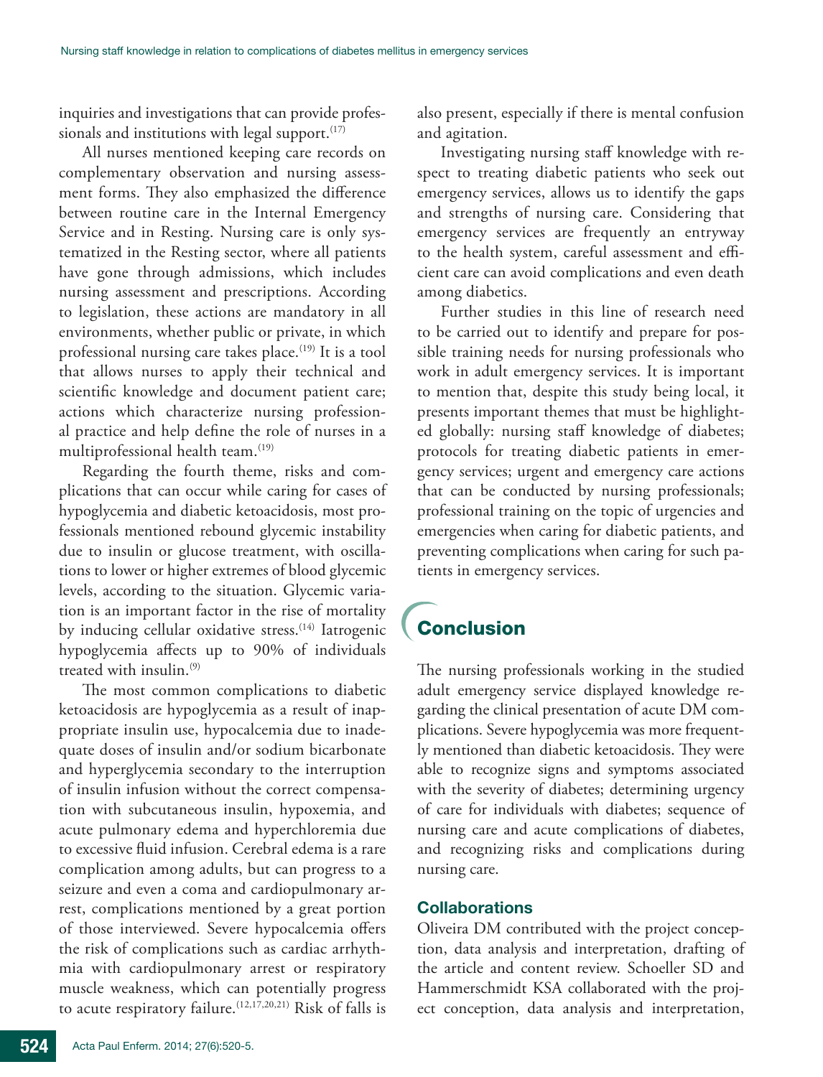inquiries and investigations that can provide professionals and institutions with legal support.<sup>(17)</sup>

All nurses mentioned keeping care records on complementary observation and nursing assessment forms. They also emphasized the difference between routine care in the Internal Emergency Service and in Resting. Nursing care is only systematized in the Resting sector, where all patients have gone through admissions, which includes nursing assessment and prescriptions. According to legislation, these actions are mandatory in all environments, whether public or private, in which professional nursing care takes place.<sup>(19)</sup> It is a tool that allows nurses to apply their technical and scientific knowledge and document patient care; actions which characterize nursing professional practice and help define the role of nurses in a multiprofessional health team.<sup>(19)</sup>

Regarding the fourth theme, risks and complications that can occur while caring for cases of hypoglycemia and diabetic ketoacidosis, most professionals mentioned rebound glycemic instability due to insulin or glucose treatment, with oscillations to lower or higher extremes of blood glycemic levels, according to the situation. Glycemic variation is an important factor in the rise of mortality by inducing cellular oxidative stress.<sup>(14)</sup> Iatrogenic hypoglycemia affects up to 90% of individuals treated with insulin.(9)

The most common complications to diabetic ketoacidosis are hypoglycemia as a result of inappropriate insulin use, hypocalcemia due to inadequate doses of insulin and/or sodium bicarbonate and hyperglycemia secondary to the interruption of insulin infusion without the correct compensation with subcutaneous insulin, hypoxemia, and acute pulmonary edema and hyperchloremia due to excessive fluid infusion. Cerebral edema is a rare complication among adults, but can progress to a seizure and even a coma and cardiopulmonary arrest, complications mentioned by a great portion of those interviewed. Severe hypocalcemia offers the risk of complications such as cardiac arrhythmia with cardiopulmonary arrest or respiratory muscle weakness, which can potentially progress to acute respiratory failure.<sup>(12,17,20,21)</sup> Risk of falls is

also present, especially if there is mental confusion and agitation.

Investigating nursing staff knowledge with respect to treating diabetic patients who seek out emergency services, allows us to identify the gaps and strengths of nursing care. Considering that emergency services are frequently an entryway to the health system, careful assessment and efficient care can avoid complications and even death among diabetics.

Further studies in this line of research need to be carried out to identify and prepare for possible training needs for nursing professionals who work in adult emergency services. It is important to mention that, despite this study being local, it presents important themes that must be highlighted globally: nursing staff knowledge of diabetes; protocols for treating diabetic patients in emergency services; urgent and emergency care actions that can be conducted by nursing professionals; professional training on the topic of urgencies and emergencies when caring for diabetic patients, and preventing complications when caring for such patients in emergency services.

### **Conclusion**

The nursing professionals working in the studied adult emergency service displayed knowledge regarding the clinical presentation of acute DM complications. Severe hypoglycemia was more frequently mentioned than diabetic ketoacidosis. They were able to recognize signs and symptoms associated with the severity of diabetes; determining urgency of care for individuals with diabetes; sequence of nursing care and acute complications of diabetes, and recognizing risks and complications during nursing care.

### **Collaborations**

Oliveira DM contributed with the project conception, data analysis and interpretation, drafting of the article and content review. Schoeller SD and Hammerschmidt KSA collaborated with the project conception, data analysis and interpretation,